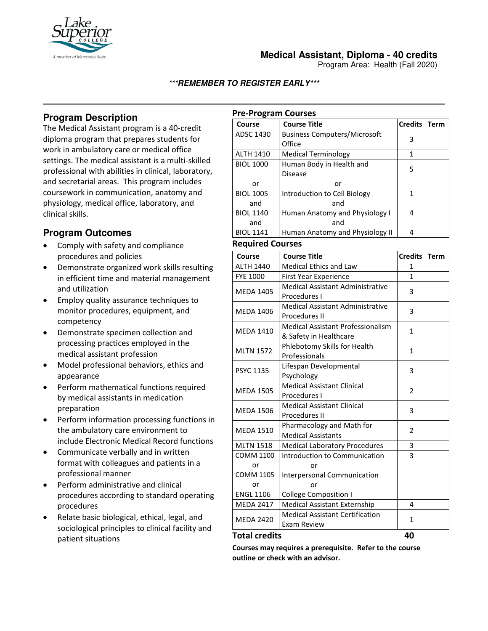

## **Medical Assistant, Diploma - 40 credits**

Program Area: Health (Fall 2020)

### **\*\*\*REMEMBER TO REGISTER EARLY\*\*\***

# **Program Description**

The Medical Assistant program is a 40-credit diploma program that prepares students for work in ambulatory care or medical office settings. The medical assistant is a multi-skilled professional with abilities in clinical, laboratory, and secretarial areas. This program includes coursework in communication, anatomy and physiology, medical office, laboratory, and clinical skills.

# **Program Outcomes**

- Comply with safety and compliance procedures and policies
- Demonstrate organized work skills resulting in efficient time and material management and utilization
- Employ quality assurance techniques to monitor procedures, equipment, and competency
- Demonstrate specimen collection and processing practices employed in the medical assistant profession
- Model professional behaviors, ethics and appearance
- Perform mathematical functions required by medical assistants in medication preparation
- Perform information processing functions in the ambulatory care environment to include Electronic Medical Record functions
- Communicate verbally and in written format with colleagues and patients in a professional manner
- Perform administrative and clinical procedures according to standard operating procedures
- Relate basic biological, ethical, legal, and sociological principles to clinical facility and patient situations

## **Pre-Program Courses**

| Course           | <b>Course Title</b>                 | <b>Credits</b> | Term |
|------------------|-------------------------------------|----------------|------|
| ADSC 1430        | <b>Business Computers/Microsoft</b> | 3              |      |
|                  | Office                              |                |      |
| <b>ALTH 1410</b> | <b>Medical Terminology</b>          |                |      |
| <b>BIOL 1000</b> | Human Body in Health and            | 5              |      |
|                  | <b>Disease</b>                      |                |      |
| or               | or                                  |                |      |
| <b>BIOL 1005</b> | Introduction to Cell Biology        | 1              |      |
| and              | and                                 |                |      |
| <b>BIOL 1140</b> | Human Anatomy and Physiology I      | 4              |      |
| and              | and                                 |                |      |
| <b>BIOL 1141</b> | Human Anatomy and Physiology II     | 4              |      |

#### **Required Courses**

| Course           | <b>Course Title</b>                      | <b>Credits</b> | <b>Term</b> |
|------------------|------------------------------------------|----------------|-------------|
| <b>ALTH 1440</b> | <b>Medical Ethics and Law</b>            | 1              |             |
| <b>FYE 1000</b>  | <b>First Year Experience</b>             | 1              |             |
| <b>MEDA 1405</b> | <b>Medical Assistant Administrative</b>  | 3              |             |
|                  | Procedures I                             |                |             |
| <b>MEDA 1406</b> | Medical Assistant Administrative         | 3              |             |
|                  | Procedures II                            |                |             |
| <b>MEDA 1410</b> | <b>Medical Assistant Professionalism</b> | $\mathbf{1}$   |             |
|                  | & Safety in Healthcare                   |                |             |
| <b>MLTN 1572</b> | Phlebotomy Skills for Health             | $\mathbf{1}$   |             |
|                  | Professionals                            |                |             |
| <b>PSYC 1135</b> | Lifespan Developmental                   | 3              |             |
|                  | Psychology                               |                |             |
| <b>MEDA 1505</b> | <b>Medical Assistant Clinical</b>        | $\overline{2}$ |             |
|                  | Procedures I                             |                |             |
| <b>MEDA 1506</b> | <b>Medical Assistant Clinical</b>        | 3              |             |
|                  | <b>Procedures II</b>                     |                |             |
| <b>MEDA 1510</b> | Pharmacology and Math for                | $\overline{2}$ |             |
|                  | <b>Medical Assistants</b>                |                |             |
| <b>MLTN 1518</b> | <b>Medical Laboratory Procedures</b>     | 3              |             |
| <b>COMM 1100</b> | Introduction to Communication            | 3              |             |
| or               | or                                       |                |             |
| <b>COMM 1105</b> | Interpersonal Communication              |                |             |
| or               | or                                       |                |             |
| <b>ENGL 1106</b> | <b>College Composition I</b>             |                |             |
| <b>MEDA 2417</b> | <b>Medical Assistant Externship</b>      | 4              |             |
| <b>MEDA 2420</b> | <b>Medical Assistant Certification</b>   | 1              |             |
|                  | <b>Exam Review</b>                       |                |             |

#### **Total credits 40**

**Courses may requires a prerequisite. Refer to the course outline or check with an advisor.**